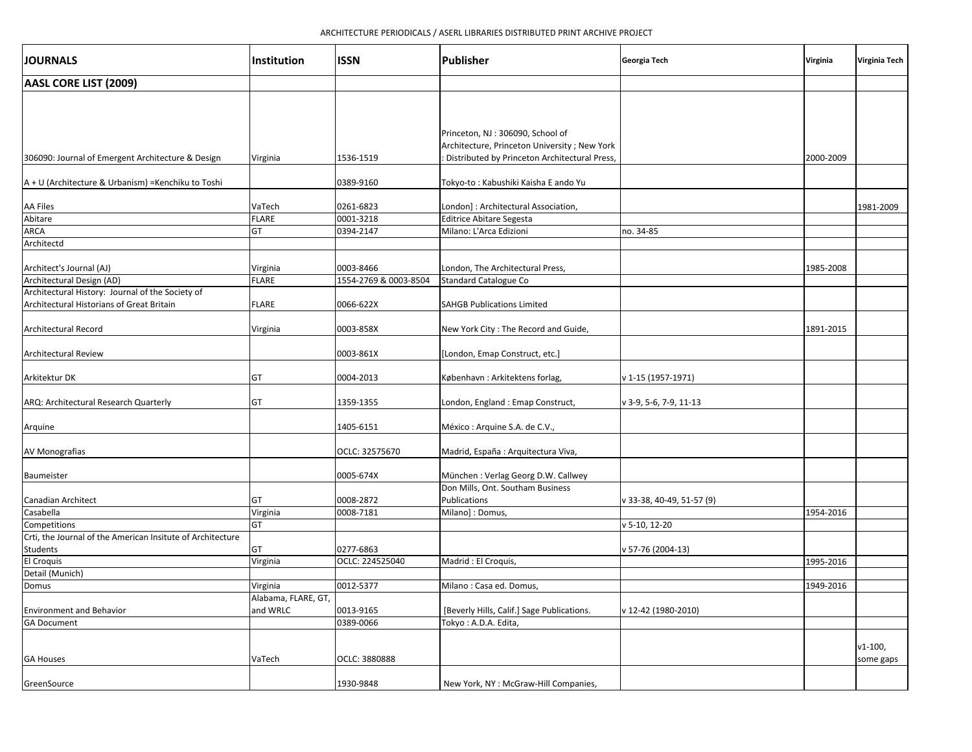| <b>JOURNALS</b>                                                                               | <b>Institution</b>              | <b>ISSN</b>           | <b>Publisher</b>                                                                  | Georgia Tech              | Virginia  | <b>Virginia Tech</b> |
|-----------------------------------------------------------------------------------------------|---------------------------------|-----------------------|-----------------------------------------------------------------------------------|---------------------------|-----------|----------------------|
| AASL CORE LIST (2009)                                                                         |                                 |                       |                                                                                   |                           |           |                      |
|                                                                                               |                                 |                       |                                                                                   |                           |           |                      |
|                                                                                               |                                 |                       | Princeton, NJ: 306090, School of<br>Architecture, Princeton University ; New York |                           |           |                      |
| 306090: Journal of Emergent Architecture & Design                                             | Virginia                        | 1536-1519             | Distributed by Princeton Architectural Press,                                     |                           | 2000-2009 |                      |
| A + U (Architecture & Urbanism) = Kenchiku to Toshi                                           |                                 | 0389-9160             | Tokyo-to: Kabushiki Kaisha E ando Yu                                              |                           |           |                      |
| <b>AA Files</b>                                                                               | VaTech                          | 0261-6823             | London]: Architectural Association,                                               |                           |           | 1981-2009            |
| Abitare                                                                                       | <b>FLARE</b>                    | 0001-3218             | <b>Editrice Abitare Segesta</b>                                                   |                           |           |                      |
| ARCA                                                                                          | GT                              | 0394-2147             | Milano: L'Arca Edizioni                                                           | no. 34-85                 |           |                      |
| Architectd                                                                                    |                                 |                       |                                                                                   |                           |           |                      |
| Architect's Journal (AJ)                                                                      | Virginia                        | 0003-8466             | London, The Architectural Press,                                                  |                           | 1985-2008 |                      |
| Architectural Design (AD)                                                                     | FLARE                           | 1554-2769 & 0003-8504 | <b>Standard Catalogue Co</b>                                                      |                           |           |                      |
| Architectural History: Journal of the Society of<br>Architectural Historians of Great Britain | FLARE                           | 0066-622X             | <b>SAHGB Publications Limited</b>                                                 |                           |           |                      |
| <b>Architectural Record</b>                                                                   | Virginia                        | 0003-858X             | New York City: The Record and Guide,                                              |                           | 1891-2015 |                      |
| <b>Architectural Review</b>                                                                   |                                 | 0003-861X             | [London, Emap Construct, etc.]                                                    |                           |           |                      |
| Arkitektur DK                                                                                 | GT                              | 0004-2013             | København: Arkitektens forlag,                                                    | v 1-15 (1957-1971)        |           |                      |
| ARQ: Architectural Research Quarterly                                                         | GT                              | 1359-1355             | London, England: Emap Construct,                                                  | v 3-9, 5-6, 7-9, 11-13    |           |                      |
| Arquine                                                                                       |                                 | 1405-6151             | México : Arquine S.A. de C.V.,                                                    |                           |           |                      |
| AV Monografias                                                                                |                                 | OCLC: 32575670        | Madrid, España : Arquitectura Viva,                                               |                           |           |                      |
| Baumeister                                                                                    |                                 | 0005-674X             | München: Verlag Georg D.W. Callwey                                                |                           |           |                      |
| Canadian Architect                                                                            | GT                              | 0008-2872             | Don Mills, Ont. Southam Business<br>Publications                                  | v 33-38, 40-49, 51-57 (9) |           |                      |
| Casabella                                                                                     | Virginia                        | 0008-7181             | Milano]: Domus,                                                                   |                           | 1954-2016 |                      |
| Competitions                                                                                  | GT                              |                       |                                                                                   | v 5-10, 12-20             |           |                      |
| Crti, the Journal of the American Insitute of Architecture                                    |                                 |                       |                                                                                   |                           |           |                      |
| Students                                                                                      | GT                              | 0277-6863             |                                                                                   | v 57-76 (2004-13)         |           |                      |
| <b>El Croquis</b>                                                                             | Virginia                        | OCLC: 224525040       | Madrid: El Croquis,                                                               |                           | 1995-2016 |                      |
| Detail (Munich)                                                                               |                                 |                       |                                                                                   |                           |           |                      |
| Domus                                                                                         | Virginia                        | 0012-5377             | Milano: Casa ed. Domus,                                                           |                           | 1949-2016 |                      |
| <b>Environment and Behavior</b>                                                               | Alabama, FLARE, GT,<br>and WRLC | 0013-9165             | [Beverly Hills, Calif.] Sage Publications.                                        | v 12-42 (1980-2010)       |           |                      |
| <b>GA Document</b>                                                                            |                                 | 0389-0066             | Tokyo: A.D.A. Edita,                                                              |                           |           |                      |
|                                                                                               |                                 |                       |                                                                                   |                           |           | $v1-100$ ,           |
| <b>GA Houses</b>                                                                              | VaTech                          | OCLC: 3880888         |                                                                                   |                           |           | some gaps            |
| GreenSource                                                                                   |                                 | 1930-9848             | New York, NY : McGraw-Hill Companies,                                             |                           |           |                      |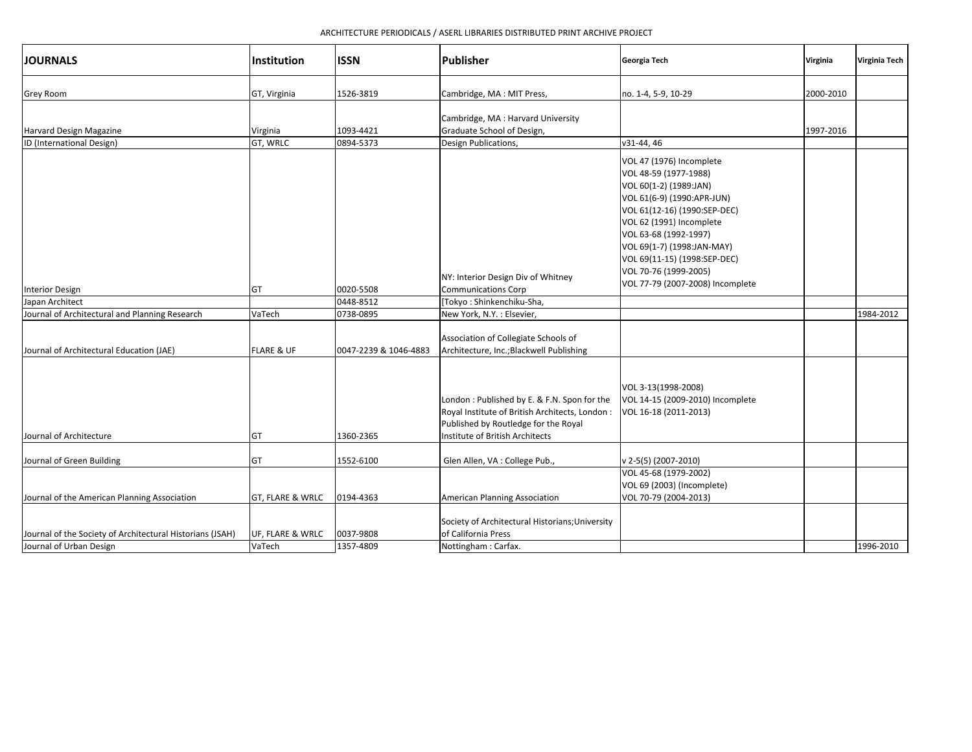| <b>JOURNALS</b>                                                                      | Institution                 | <b>ISSN</b>            | <b>Publisher</b>                                                                                                                                                          | Georgia Tech                                                                                                                                                                                                                                                                                                              | Virginia  | Virginia Tech |
|--------------------------------------------------------------------------------------|-----------------------------|------------------------|---------------------------------------------------------------------------------------------------------------------------------------------------------------------------|---------------------------------------------------------------------------------------------------------------------------------------------------------------------------------------------------------------------------------------------------------------------------------------------------------------------------|-----------|---------------|
| <b>Grey Room</b>                                                                     | GT, Virginia                | 1526-3819              | Cambridge, MA : MIT Press,                                                                                                                                                | no. 1-4, 5-9, 10-29                                                                                                                                                                                                                                                                                                       | 2000-2010 |               |
| Harvard Design Magazine<br>ID (International Design)                                 | Virginia<br>GT, WRLC        | 1093-4421<br>0894-5373 | Cambridge, MA : Harvard University<br>Graduate School of Design,<br>Design Publications,                                                                                  | v31-44, 46                                                                                                                                                                                                                                                                                                                | 1997-2016 |               |
| <b>Interior Design</b><br>Japan Architect                                            | GT                          | 0020-5508<br>0448-8512 | NY: Interior Design Div of Whitney<br><b>Communications Corp</b><br>[Tokyo: Shinkenchiku-Sha,                                                                             | VOL 47 (1976) Incomplete<br>VOL 48-59 (1977-1988)<br>VOL 60(1-2) (1989:JAN)<br>VOL 61(6-9) (1990:APR-JUN)<br>VOL 61(12-16) (1990:SEP-DEC)<br>VOL 62 (1991) Incomplete<br>VOL 63-68 (1992-1997)<br>VOL 69(1-7) (1998:JAN-MAY)<br>VOL 69(11-15) (1998:SEP-DEC)<br>VOL 70-76 (1999-2005)<br>VOL 77-79 (2007-2008) Incomplete |           |               |
| Journal of Architectural and Planning Research                                       | VaTech                      | 0738-0895              | New York, N.Y.: Elsevier,                                                                                                                                                 |                                                                                                                                                                                                                                                                                                                           |           | 1984-2012     |
| Journal of Architectural Education (JAE)                                             | <b>FLARE &amp; UF</b>       | 0047-2239 & 1046-4883  | Association of Collegiate Schools of<br>Architecture, Inc.; Blackwell Publishing                                                                                          |                                                                                                                                                                                                                                                                                                                           |           |               |
| Journal of Architecture                                                              | GT                          | 1360-2365              | London: Published by E. & F.N. Spon for the<br>Royal Institute of British Architects, London :<br>Published by Routledge for the Royal<br>Institute of British Architects | VOL 3-13(1998-2008)<br>VOL 14-15 (2009-2010) Incomplete<br>VOL 16-18 (2011-2013)                                                                                                                                                                                                                                          |           |               |
| Journal of Green Building                                                            | GT                          | 1552-6100              | Glen Allen, VA : College Pub.,                                                                                                                                            | v 2-5(5) (2007-2010)                                                                                                                                                                                                                                                                                                      |           |               |
| Journal of the American Planning Association                                         | <b>GT, FLARE &amp; WRLC</b> | 0194-4363              | American Planning Association                                                                                                                                             | VOL 45-68 (1979-2002)<br>VOL 69 (2003) (Incomplete)<br>VOL 70-79 (2004-2013)                                                                                                                                                                                                                                              |           |               |
| Journal of the Society of Architectural Historians (JSAH)<br>Journal of Urban Design | UF, FLARE & WRLC<br>VaTech  | 0037-9808<br>1357-4809 | Society of Architectural Historians; University<br>of California Press<br>Nottingham: Carfax.                                                                             |                                                                                                                                                                                                                                                                                                                           |           | 1996-2010     |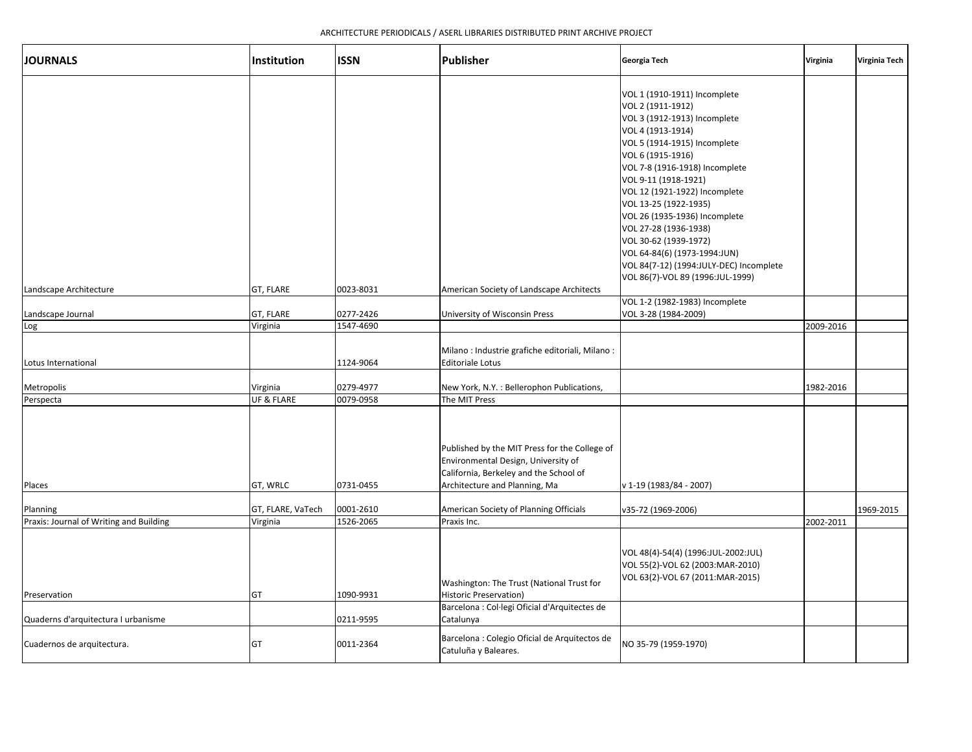| <b>JOURNALS</b>                         | Institution            | <b>ISSN</b>            | Publisher                                                                                                                                                                        | Georgia Tech                                                                                                                                                                                                                                                                                                                                                                                                                                                                      | Virginia  | Virginia Tech |
|-----------------------------------------|------------------------|------------------------|----------------------------------------------------------------------------------------------------------------------------------------------------------------------------------|-----------------------------------------------------------------------------------------------------------------------------------------------------------------------------------------------------------------------------------------------------------------------------------------------------------------------------------------------------------------------------------------------------------------------------------------------------------------------------------|-----------|---------------|
|                                         |                        |                        |                                                                                                                                                                                  | VOL 1 (1910-1911) Incomplete<br>VOL 2 (1911-1912)<br>VOL 3 (1912-1913) Incomplete<br>VOL 4 (1913-1914)<br>VOL 5 (1914-1915) Incomplete<br>VOL 6 (1915-1916)<br>VOL 7-8 (1916-1918) Incomplete<br>VOL 9-11 (1918-1921)<br>VOL 12 (1921-1922) Incomplete<br>VOL 13-25 (1922-1935)<br>VOL 26 (1935-1936) Incomplete<br>VOL 27-28 (1936-1938)<br>VOL 30-62 (1939-1972)<br>VOL 64-84(6) (1973-1994:JUN)<br>VOL 84(7-12) (1994:JULY-DEC) Incomplete<br>VOL 86(7)-VOL 89 (1996:JUL-1999) |           |               |
| Landscape Architecture                  | GT, FLARE              | 0023-8031              | American Society of Landscape Architects                                                                                                                                         | VOL 1-2 (1982-1983) Incomplete                                                                                                                                                                                                                                                                                                                                                                                                                                                    |           |               |
| Landscape Journal                       | GT, FLARE              | 0277-2426              | University of Wisconsin Press                                                                                                                                                    | VOL 3-28 (1984-2009)                                                                                                                                                                                                                                                                                                                                                                                                                                                              |           |               |
| Log                                     | Virginia               | 1547-4690              |                                                                                                                                                                                  |                                                                                                                                                                                                                                                                                                                                                                                                                                                                                   | 2009-2016 |               |
| Lotus International                     |                        | 1124-9064              | Milano : Industrie grafiche editoriali, Milano :<br><b>Editoriale Lotus</b>                                                                                                      |                                                                                                                                                                                                                                                                                                                                                                                                                                                                                   |           |               |
| Metropolis                              | Virginia               | 0279-4977              | New York, N.Y. : Bellerophon Publications,                                                                                                                                       |                                                                                                                                                                                                                                                                                                                                                                                                                                                                                   | 1982-2016 |               |
| Perspecta<br>Places                     | UF & FLARE<br>GT, WRLC | 0079-0958<br>0731-0455 | The MIT Press<br>Published by the MIT Press for the College of<br>Environmental Design, University of<br>California, Berkeley and the School of<br>Architecture and Planning, Ma | v 1-19 (1983/84 - 2007)                                                                                                                                                                                                                                                                                                                                                                                                                                                           |           |               |
| Planning                                | GT, FLARE, VaTech      | 0001-2610              | American Society of Planning Officials                                                                                                                                           | v35-72 (1969-2006)                                                                                                                                                                                                                                                                                                                                                                                                                                                                |           | 1969-2015     |
| Praxis: Journal of Writing and Building | Virginia               | 1526-2065              | Praxis Inc.                                                                                                                                                                      |                                                                                                                                                                                                                                                                                                                                                                                                                                                                                   | 2002-2011 |               |
| Preservation                            | GT                     | 1090-9931              | Washington: The Trust (National Trust for<br><b>Historic Preservation)</b><br>Barcelona : Col·legi Oficial d'Arquitectes de                                                      | VOL 48(4)-54(4) (1996:JUL-2002:JUL)<br>VOL 55(2)-VOL 62 (2003:MAR-2010)<br>VOL 63(2)-VOL 67 (2011:MAR-2015)                                                                                                                                                                                                                                                                                                                                                                       |           |               |
| Quaderns d'arquitectura I urbanisme     |                        | 0211-9595              | Catalunya                                                                                                                                                                        |                                                                                                                                                                                                                                                                                                                                                                                                                                                                                   |           |               |
| Cuadernos de arquitectura.              | GT                     | 0011-2364              | Barcelona : Colegio Oficial de Arquitectos de<br>Catuluña y Baleares.                                                                                                            | NO 35-79 (1959-1970)                                                                                                                                                                                                                                                                                                                                                                                                                                                              |           |               |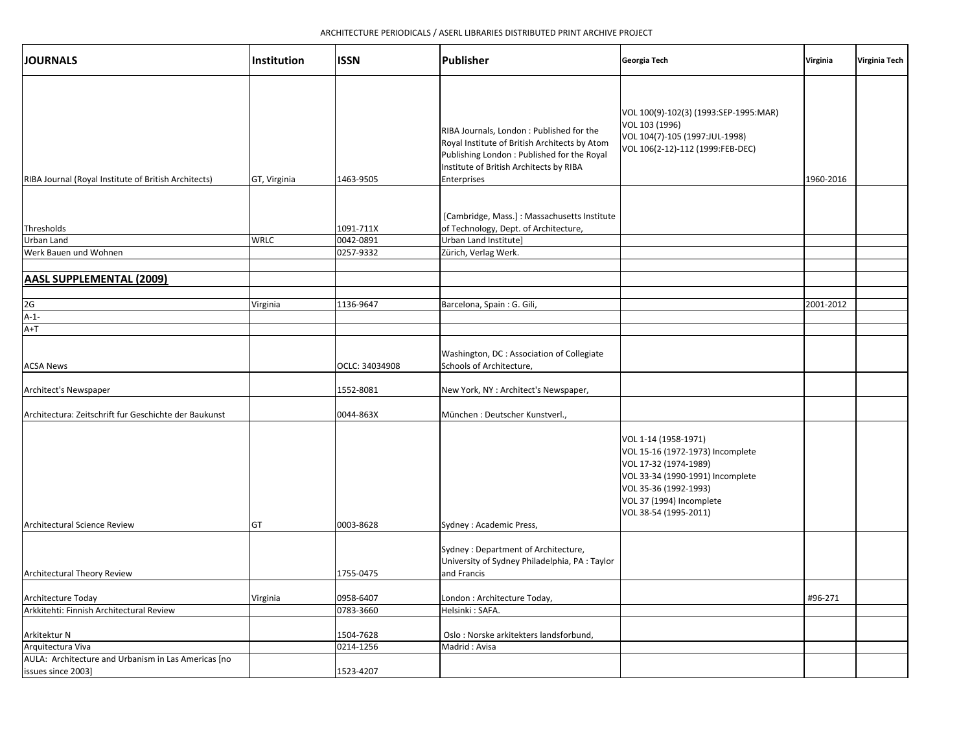| <b>JOURNALS</b>                                                           | Institution  | <b>ISSN</b>    | Publisher                                                                                                                                                                                           | Georgia Tech                                                                                                                                                                                        | Virginia  | Virginia Tech |
|---------------------------------------------------------------------------|--------------|----------------|-----------------------------------------------------------------------------------------------------------------------------------------------------------------------------------------------------|-----------------------------------------------------------------------------------------------------------------------------------------------------------------------------------------------------|-----------|---------------|
| RIBA Journal (Royal Institute of British Architects)                      | GT, Virginia | 1463-9505      | RIBA Journals, London : Published for the<br>Royal Institute of British Architects by Atom<br>Publishing London : Published for the Royal<br>Institute of British Architects by RIBA<br>Enterprises | VOL 100(9)-102(3) (1993:SEP-1995:MAR)<br>VOL 103 (1996)<br>VOL 104(7)-105 (1997:JUL-1998)<br>VOL 106(2-12)-112 (1999:FEB-DEC)                                                                       | 1960-2016 |               |
| Thresholds                                                                |              | 1091-711X      | [Cambridge, Mass.] : Massachusetts Institute<br>of Technology, Dept. of Architecture,                                                                                                               |                                                                                                                                                                                                     |           |               |
| <b>Urban Land</b>                                                         | <b>WRLC</b>  | 0042-0891      | Urban Land Institute]                                                                                                                                                                               |                                                                                                                                                                                                     |           |               |
| Werk Bauen und Wohnen                                                     |              | 0257-9332      | Zürich, Verlag Werk.                                                                                                                                                                                |                                                                                                                                                                                                     |           |               |
| <b>AASL SUPPLEMENTAL (2009)</b>                                           |              |                |                                                                                                                                                                                                     |                                                                                                                                                                                                     |           |               |
|                                                                           |              | 1136-9647      |                                                                                                                                                                                                     |                                                                                                                                                                                                     |           |               |
| 2G<br>$A-1-$                                                              | Virginia     |                | Barcelona, Spain: G. Gili,                                                                                                                                                                          |                                                                                                                                                                                                     | 2001-2012 |               |
| $A+T$                                                                     |              |                |                                                                                                                                                                                                     |                                                                                                                                                                                                     |           |               |
| <b>ACSA News</b>                                                          |              | OCLC: 34034908 | Washington, DC : Association of Collegiate<br>Schools of Architecture,                                                                                                                              |                                                                                                                                                                                                     |           |               |
| Architect's Newspaper                                                     |              | 1552-8081      | New York, NY : Architect's Newspaper,                                                                                                                                                               |                                                                                                                                                                                                     |           |               |
| Architectura: Zeitschrift fur Geschichte der Baukunst                     |              | 0044-863X      | München: Deutscher Kunstverl.,                                                                                                                                                                      |                                                                                                                                                                                                     |           |               |
| Architectural Science Review                                              | GT           | 0003-8628      | Sydney: Academic Press,                                                                                                                                                                             | VOL 1-14 (1958-1971)<br>VOL 15-16 (1972-1973) Incomplete<br>VOL 17-32 (1974-1989)<br>VOL 33-34 (1990-1991) Incomplete<br>VOL 35-36 (1992-1993)<br>VOL 37 (1994) Incomplete<br>VOL 38-54 (1995-2011) |           |               |
| Architectural Theory Review                                               |              | 1755-0475      | Sydney: Department of Architecture,<br>University of Sydney Philadelphia, PA: Taylor<br>and Francis                                                                                                 |                                                                                                                                                                                                     |           |               |
| Architecture Today                                                        | Virginia     | 0958-6407      | London : Architecture Today,                                                                                                                                                                        |                                                                                                                                                                                                     | #96-271   |               |
| Arkkitehti: Finnish Architectural Review                                  |              | 0783-3660      | Helsinki: SAFA.                                                                                                                                                                                     |                                                                                                                                                                                                     |           |               |
| Arkitektur N                                                              |              | 1504-7628      | Oslo: Norske arkitekters landsforbund,                                                                                                                                                              |                                                                                                                                                                                                     |           |               |
| Arquitectura Viva                                                         |              | 0214-1256      | Madrid: Avisa                                                                                                                                                                                       |                                                                                                                                                                                                     |           |               |
| AULA: Architecture and Urbanism in Las Americas [no<br>issues since 2003] |              | 1523-4207      |                                                                                                                                                                                                     |                                                                                                                                                                                                     |           |               |
|                                                                           |              |                |                                                                                                                                                                                                     |                                                                                                                                                                                                     |           |               |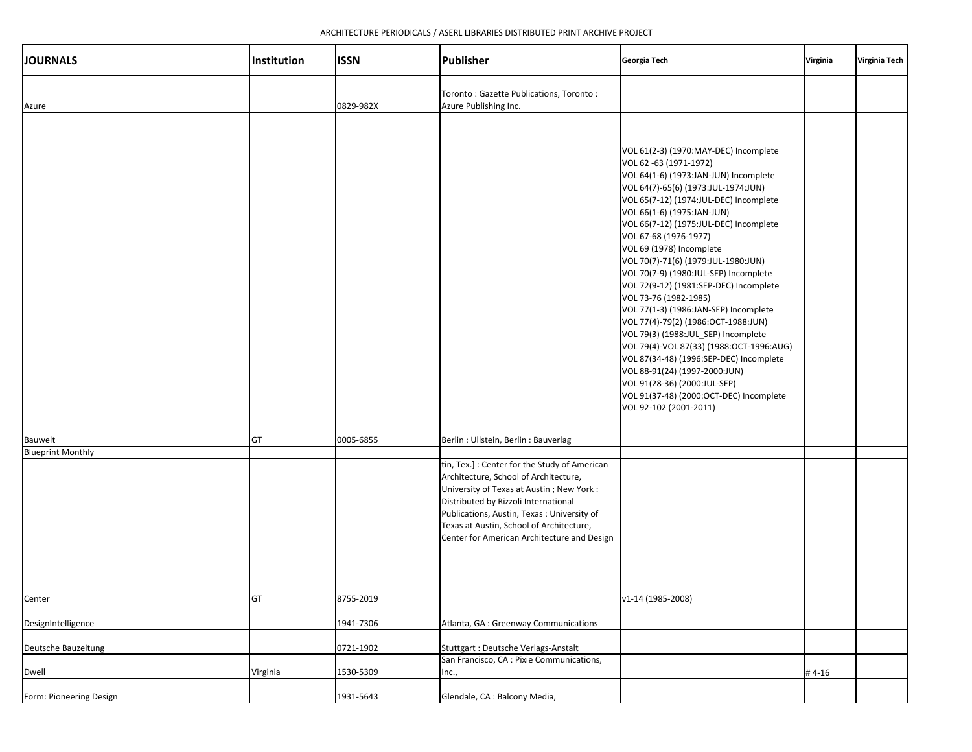| <b>JOURNALS</b>                     | Institution | <b>ISSN</b> | Publisher                                                                                                                                                                                                                                                                                                             | Georgia Tech                                                                                                                                                                                                                                                                                                                                                                                                                                                                                                                                                                                                                                                                                                                                                                                                                  | Virginia | Virginia Tech |
|-------------------------------------|-------------|-------------|-----------------------------------------------------------------------------------------------------------------------------------------------------------------------------------------------------------------------------------------------------------------------------------------------------------------------|-------------------------------------------------------------------------------------------------------------------------------------------------------------------------------------------------------------------------------------------------------------------------------------------------------------------------------------------------------------------------------------------------------------------------------------------------------------------------------------------------------------------------------------------------------------------------------------------------------------------------------------------------------------------------------------------------------------------------------------------------------------------------------------------------------------------------------|----------|---------------|
| Azure                               |             | 0829-982X   | Toronto: Gazette Publications, Toronto:<br>Azure Publishing Inc.                                                                                                                                                                                                                                                      |                                                                                                                                                                                                                                                                                                                                                                                                                                                                                                                                                                                                                                                                                                                                                                                                                               |          |               |
| Bauwelt<br><b>Blueprint Monthly</b> | GT          | 0005-6855   | Berlin: Ullstein, Berlin: Bauverlag                                                                                                                                                                                                                                                                                   | VOL 61(2-3) (1970:MAY-DEC) Incomplete<br>VOL 62 -63 (1971-1972)<br>VOL 64(1-6) (1973:JAN-JUN) Incomplete<br>VOL 64(7)-65(6) (1973:JUL-1974:JUN)<br>VOL 65(7-12) (1974:JUL-DEC) Incomplete<br>VOL 66(1-6) (1975:JAN-JUN)<br>VOL 66(7-12) (1975:JUL-DEC) Incomplete<br>VOL 67-68 (1976-1977)<br>VOL 69 (1978) Incomplete<br>VOL 70(7)-71(6) (1979:JUL-1980:JUN)<br>VOL 70(7-9) (1980:JUL-SEP) Incomplete<br>VOL 72(9-12) (1981:SEP-DEC) Incomplete<br>VOL 73-76 (1982-1985)<br>VOL 77(1-3) (1986:JAN-SEP) Incomplete<br>VOL 77(4)-79(2) (1986:OCT-1988:JUN)<br>VOL 79(3) (1988:JUL_SEP) Incomplete<br>VOL 79(4)-VOL 87(33) (1988:OCT-1996:AUG)<br>VOL 87(34-48) (1996:SEP-DEC) Incomplete<br>VOL 88-91(24) (1997-2000:JUN)<br>VOL 91(28-36) (2000:JUL-SEP)<br>VOL 91(37-48) (2000:OCT-DEC) Incomplete<br>VOL 92-102 (2001-2011) |          |               |
| Center                              | GТ          | 8755-2019   | tin, Tex.] : Center for the Study of American<br>Architecture, School of Architecture,<br>University of Texas at Austin ; New York :<br>Distributed by Rizzoli International<br>Publications, Austin, Texas: University of<br>Texas at Austin, School of Architecture,<br>Center for American Architecture and Design | v1-14 (1985-2008)                                                                                                                                                                                                                                                                                                                                                                                                                                                                                                                                                                                                                                                                                                                                                                                                             |          |               |
| DesignIntelligence                  |             | 1941-7306   | Atlanta, GA : Greenway Communications                                                                                                                                                                                                                                                                                 |                                                                                                                                                                                                                                                                                                                                                                                                                                                                                                                                                                                                                                                                                                                                                                                                                               |          |               |
| Deutsche Bauzeitung                 |             | 0721-1902   | Stuttgart : Deutsche Verlags-Anstalt                                                                                                                                                                                                                                                                                  |                                                                                                                                                                                                                                                                                                                                                                                                                                                                                                                                                                                                                                                                                                                                                                                                                               |          |               |
| Dwell                               | Virginia    | 1530-5309   | San Francisco, CA : Pixie Communications,<br>Inc.,                                                                                                                                                                                                                                                                    |                                                                                                                                                                                                                                                                                                                                                                                                                                                                                                                                                                                                                                                                                                                                                                                                                               | #4-16    |               |
| Form: Pioneering Design             |             | 1931-5643   | Glendale, CA : Balcony Media,                                                                                                                                                                                                                                                                                         |                                                                                                                                                                                                                                                                                                                                                                                                                                                                                                                                                                                                                                                                                                                                                                                                                               |          |               |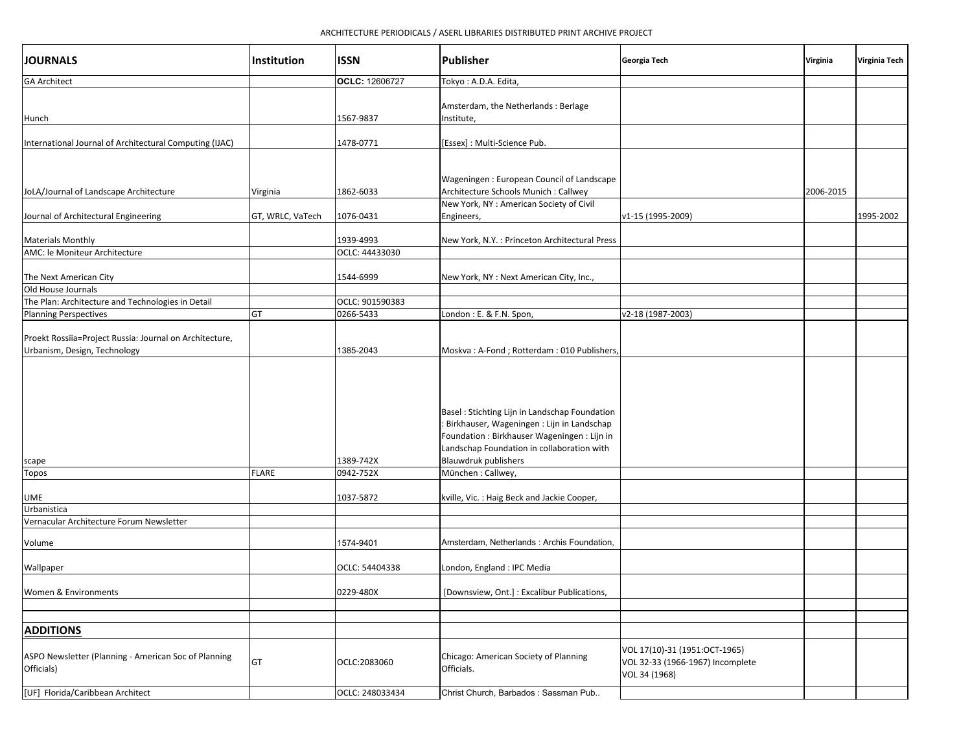| <b>JOURNALS</b>                                                                         | Institution      | <b>ISSN</b>                  | <b>Publisher</b>                                                                                                                                                                                                            | Georgia Tech                                                                       | Virginia  | Virginia Tech |
|-----------------------------------------------------------------------------------------|------------------|------------------------------|-----------------------------------------------------------------------------------------------------------------------------------------------------------------------------------------------------------------------------|------------------------------------------------------------------------------------|-----------|---------------|
| <b>GA Architect</b>                                                                     |                  | OCLC: 12606727               | Tokyo: A.D.A. Edita,                                                                                                                                                                                                        |                                                                                    |           |               |
| Hunch                                                                                   |                  | 1567-9837                    | Amsterdam, the Netherlands: Berlage<br>Institute,                                                                                                                                                                           |                                                                                    |           |               |
| International Journal of Architectural Computing (IJAC)                                 |                  | 1478-0771                    | [Essex] : Multi-Science Pub.                                                                                                                                                                                                |                                                                                    |           |               |
| JoLA/Journal of Landscape Architecture                                                  | Virginia         | 1862-6033                    | Wageningen: European Council of Landscape<br>Architecture Schools Munich : Callwey                                                                                                                                          |                                                                                    | 2006-2015 |               |
| Journal of Architectural Engineering                                                    | GT, WRLC, VaTech | 1076-0431                    | New York, NY : American Society of Civil<br>Engineers,                                                                                                                                                                      | v1-15 (1995-2009)                                                                  |           | 1995-2002     |
| <b>Materials Monthly</b><br>AMC: le Moniteur Architecture                               |                  | 1939-4993<br>OCLC: 44433030  | New York, N.Y. : Princeton Architectural Press                                                                                                                                                                              |                                                                                    |           |               |
| The Next American City                                                                  |                  | 1544-6999                    | New York, NY : Next American City, Inc.,                                                                                                                                                                                    |                                                                                    |           |               |
| Old House Journals<br>The Plan: Architecture and Technologies in Detail                 |                  |                              |                                                                                                                                                                                                                             |                                                                                    |           |               |
| <b>Planning Perspectives</b>                                                            | GT               | OCLC: 901590383<br>0266-5433 | London: E. & F.N. Spon,                                                                                                                                                                                                     | v2-18 (1987-2003)                                                                  |           |               |
|                                                                                         |                  |                              |                                                                                                                                                                                                                             |                                                                                    |           |               |
| Proekt Rossiia=Project Russia: Journal on Architecture,<br>Urbanism, Design, Technology |                  | 1385-2043                    | Moskva: A-Fond; Rotterdam: 010 Publishers,                                                                                                                                                                                  |                                                                                    |           |               |
| scape                                                                                   |                  | 1389-742X                    | Basel : Stichting Lijn in Landschap Foundation<br>: Birkhauser, Wageningen : Lijn in Landschap<br>Foundation : Birkhauser Wageningen : Lijn in<br>Landschap Foundation in collaboration with<br><b>Blauwdruk publishers</b> |                                                                                    |           |               |
| Topos                                                                                   | <b>FLARE</b>     | 0942-752X                    | München: Callwey,                                                                                                                                                                                                           |                                                                                    |           |               |
| UME<br>Urbanistica                                                                      |                  | 1037-5872                    | kville, Vic. : Haig Beck and Jackie Cooper,                                                                                                                                                                                 |                                                                                    |           |               |
| Vernacular Architecture Forum Newsletter                                                |                  |                              |                                                                                                                                                                                                                             |                                                                                    |           |               |
| Volume                                                                                  |                  | 1574-9401                    | Amsterdam, Netherlands: Archis Foundation,                                                                                                                                                                                  |                                                                                    |           |               |
| Wallpaper                                                                               |                  | OCLC: 54404338               | London, England : IPC Media                                                                                                                                                                                                 |                                                                                    |           |               |
| Women & Environments                                                                    |                  | 0229-480X                    | [Downsview, Ont.]: Excalibur Publications,                                                                                                                                                                                  |                                                                                    |           |               |
|                                                                                         |                  |                              |                                                                                                                                                                                                                             |                                                                                    |           |               |
| <b>ADDITIONS</b>                                                                        |                  |                              |                                                                                                                                                                                                                             |                                                                                    |           |               |
| ASPO Newsletter (Planning - American Soc of Planning<br>Officials)                      | GT               | OCLC:2083060                 | Chicago: American Society of Planning<br>Officials.                                                                                                                                                                         | VOL 17(10)-31 (1951:OCT-1965)<br>VOL 32-33 (1966-1967) Incomplete<br>VOL 34 (1968) |           |               |
| [UF] Florida/Caribbean Architect                                                        |                  | OCLC: 248033434              | Christ Church, Barbados : Sassman Pub                                                                                                                                                                                       |                                                                                    |           |               |